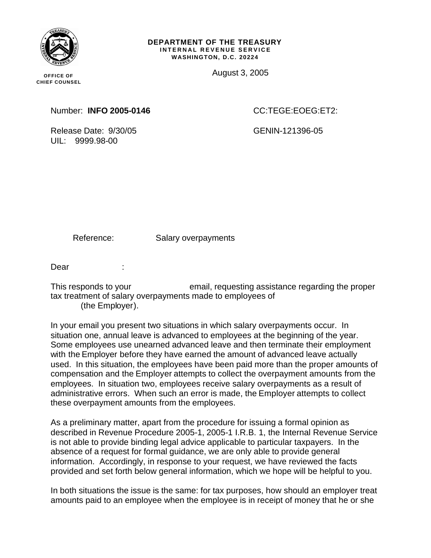

**OFFICE OF CHIEF COUNSEL**

### **DEPARTMENT OF THE TREASURY INTERNAL REVENUE SERVICE WASHINGTON, D.C. 20224**

August 3, 2005

Number: **INFO 2005-0146** CC:TEGE:EOEG:ET2:

Release Date: 9/30/05 GENIN-121396-05 UIL: 9999.98-00

Reference: Salary overpayments

Dear :

This responds to your email, requesting assistance regarding the proper tax treatment of salary overpayments made to employees of (the Employer).

In your email you present two situations in which salary overpayments occur. In situation one, annual leave is advanced to employees at the beginning of the year. Some employees use unearned advanced leave and then terminate their employment with the Employer before they have earned the amount of advanced leave actually used. In this situation, the employees have been paid more than the proper amounts of compensation and the Employer attempts to collect the overpayment amounts from the employees. In situation two, employees receive salary overpayments as a result of administrative errors. When such an error is made, the Employer attempts to collect these overpayment amounts from the employees.

As a preliminary matter, apart from the procedure for issuing a formal opinion as described in Revenue Procedure 2005-1, 2005-1 I.R.B. 1, the Internal Revenue Service is not able to provide binding legal advice applicable to particular taxpayers. In the absence of a request for formal guidance, we are only able to provide general information. Accordingly, in response to your request, we have reviewed the facts provided and set forth below general information, which we hope will be helpful to you.

In both situations the issue is the same: for tax purposes, how should an employer treat amounts paid to an employee when the employee is in receipt of money that he or she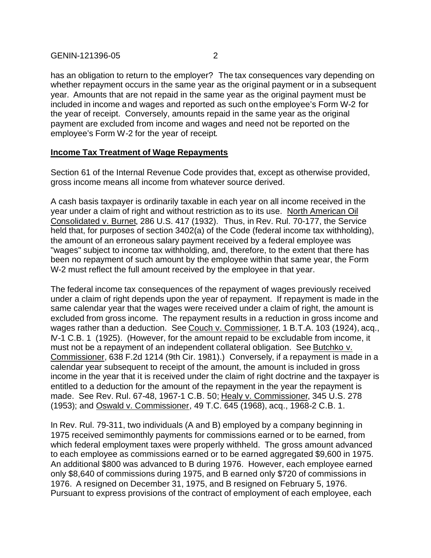has an obligation to return to the employer? The tax consequences vary depending on whether repayment occurs in the same year as the original payment or in a subsequent year. Amounts that are not repaid in the same year as the original payment must be included in income and wages and reported as such on the employee's Form W-2 for the year of receipt. Conversely, amounts repaid in the same year as the original payment are excluded from income and wages and need not be reported on the employee's Form W-2 for the year of receipt.

### **Income Tax Treatment of Wage Repayments**

Section 61 of the Internal Revenue Code provides that, except as otherwise provided, gross income means all income from whatever source derived.

A cash basis taxpayer is ordinarily taxable in each year on all income received in the year under a claim of right and without restriction as to its use. North American Oil Consolidated v. Burnet, 286 U.S. 417 (1932). Thus, in Rev. Rul. 70-177, the Service held that, for purposes of section 3402(a) of the Code (federal income tax withholding), the amount of an erroneous salary payment received by a federal employee was "wages" subject to income tax withholding, and, therefore, to the extent that there has been no repayment of such amount by the employee within that same year, the Form W-2 must reflect the full amount received by the employee in that year.

The federal income tax consequences of the repayment of wages previously received under a claim of right depends upon the year of repayment. If repayment is made in the same calendar year that the wages were received under a claim of right, the amount is excluded from gross income. The repayment results in a reduction in gross income and wages rather than a deduction. See Couch v. Commissioner, 1 B.T.A. 103 (1924), acq., IV-1 C.B. 1 (1925). (However, for the amount repaid to be excludable from income, it must not be a repayment of an independent collateral obligation. See Butchko v. Commissioner, 638 F.2d 1214 (9th Cir. 1981).) Conversely, if a repayment is made in a calendar year subsequent to receipt of the amount, the amount is included in gross income in the year that it is received under the claim of right doctrine and the taxpayer is entitled to a deduction for the amount of the repayment in the year the repayment is made. See Rev. Rul. 67-48, 1967-1 C.B. 50; Healy v. Commissioner, 345 U.S. 278 (1953); and Oswald v. Commissioner, 49 T.C. 645 (1968), acq., 1968-2 C.B. 1.

In Rev. Rul. 79-311, two individuals (A and B) employed by a company beginning in 1975 received semimonthly payments for commissions earned or to be earned, from which federal employment taxes were properly withheld. The gross amount advanced to each employee as commissions earned or to be earned aggregated \$9,600 in 1975. An additional \$800 was advanced to B during 1976. However, each employee earned only \$8,640 of commissions during 1975, and B earned only \$720 of commissions in 1976. A resigned on December 31, 1975, and B resigned on February 5, 1976. Pursuant to express provisions of the contract of employment of each employee, each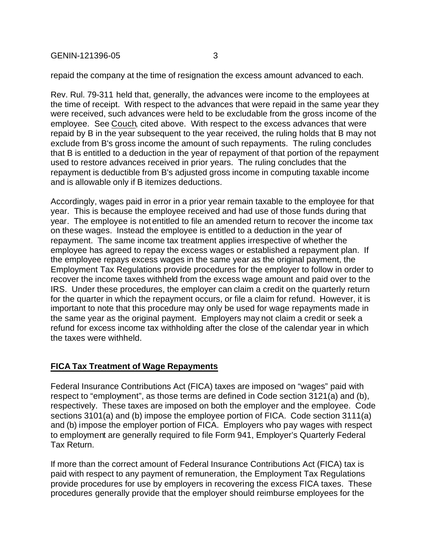GENIN-121396-05 3

repaid the company at the time of resignation the excess amount advanced to each.

Rev. Rul. 79-311 held that, generally, the advances were income to the employees at the time of receipt. With respect to the advances that were repaid in the same year they were received, such advances were held to be excludable from the gross income of the employee. See Couch, cited above. With respect to the excess advances that were repaid by B in the year subsequent to the year received, the ruling holds that B may not exclude from B's gross income the amount of such repayments. The ruling concludes that B is entitled to a deduction in the year of repayment of that portion of the repayment used to restore advances received in prior years. The ruling concludes that the repayment is deductible from B's adjusted gross income in computing taxable income and is allowable only if B itemizes deductions.

Accordingly, wages paid in error in a prior year remain taxable to the employee for that year. This is because the employee received and had use of those funds during that year. The employee is not entitled to file an amended return to recover the income tax on these wages. Instead the employee is entitled to a deduction in the year of repayment. The same income tax treatment applies irrespective of whether the employee has agreed to repay the excess wages or established a repayment plan. If the employee repays excess wages in the same year as the original payment, the Employment Tax Regulations provide procedures for the employer to follow in order to recover the income taxes withheld from the excess wage amount and paid over to the IRS. Under these procedures, the employer can claim a credit on the quarterly return for the quarter in which the repayment occurs, or file a claim for refund. However, it is important to note that this procedure may only be used for wage repayments made in the same year as the original payment. Employers may not claim a credit or seek a refund for excess income tax withholding after the close of the calendar year in which the taxes were withheld.

# **FICA Tax Treatment of Wage Repayments**

Federal Insurance Contributions Act (FICA) taxes are imposed on "wages" paid with respect to "employment", as those terms are defined in Code section 3121(a) and (b), respectively. These taxes are imposed on both the employer and the employee. Code sections 3101(a) and (b) impose the employee portion of FICA. Code section 3111(a) and (b) impose the employer portion of FICA. Employers who pay wages with respect to employment are generally required to file Form 941, Employer's Quarterly Federal Tax Return.

If more than the correct amount of Federal Insurance Contributions Act (FICA) tax is paid with respect to any payment of remuneration, the Employment Tax Regulations provide procedures for use by employers in recovering the excess FICA taxes. These procedures generally provide that the employer should reimburse employees for the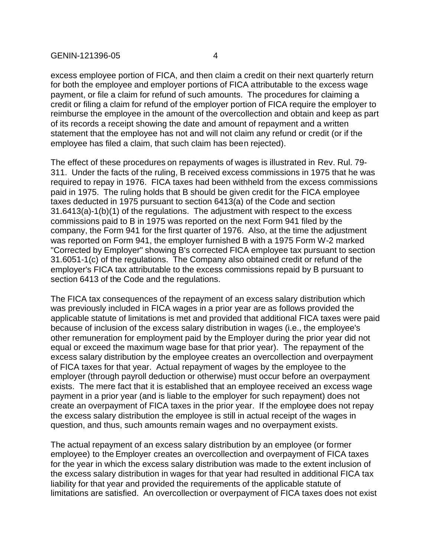excess employee portion of FICA, and then claim a credit on their next quarterly return for both the employee and employer portions of FICA attributable to the excess wage payment, or file a claim for refund of such amounts. The procedures for claiming a credit or filing a claim for refund of the employer portion of FICA require the employer to reimburse the employee in the amount of the overcollection and obtain and keep as part of its records a receipt showing the date and amount of repayment and a written statement that the employee has not and will not claim any refund or credit (or if the employee has filed a claim, that such claim has been rejected).

The effect of these procedures on repayments of wages is illustrated in Rev. Rul. 79- 311. Under the facts of the ruling, B received excess commissions in 1975 that he was required to repay in 1976. FICA taxes had been withheld from the excess commissions paid in 1975. The ruling holds that B should be given credit for the FICA employee taxes deducted in 1975 pursuant to section 6413(a) of the Code and section 31.6413(a)-1(b)(1) of the regulations. The adjustment with respect to the excess commissions paid to B in 1975 was reported on the next Form 941 filed by the company, the Form 941 for the first quarter of 1976. Also, at the time the adjustment was reported on Form 941, the employer furnished B with a 1975 Form W-2 marked "Corrected by Employer" showing B's corrected FICA employee tax pursuant to section 31.6051-1(c) of the regulations. The Company also obtained credit or refund of the employer's FICA tax attributable to the excess commissions repaid by B pursuant to section 6413 of the Code and the regulations.

The FICA tax consequences of the repayment of an excess salary distribution which was previously included in FICA wages in a prior year are as follows provided the applicable statute of limitations is met and provided that additional FICA taxes were paid because of inclusion of the excess salary distribution in wages (i.e., the employee's other remuneration for employment paid by the Employer during the prior year did not equal or exceed the maximum wage base for that prior year). The repayment of the excess salary distribution by the employee creates an overcollection and overpayment of FICA taxes for that year. Actual repayment of wages by the employee to the employer (through payroll deduction or otherwise) must occur before an overpayment exists. The mere fact that it is established that an employee received an excess wage payment in a prior year (and is liable to the employer for such repayment) does not create an overpayment of FICA taxes in the prior year. If the employee does not repay the excess salary distribution the employee is still in actual receipt of the wages in question, and thus, such amounts remain wages and no overpayment exists.

The actual repayment of an excess salary distribution by an employee (or former employee) to the Employer creates an overcollection and overpayment of FICA taxes for the year in which the excess salary distribution was made to the extent inclusion of the excess salary distribution in wages for that year had resulted in additional FICA tax liability for that year and provided the requirements of the applicable statute of limitations are satisfied. An overcollection or overpayment of FICA taxes does not exist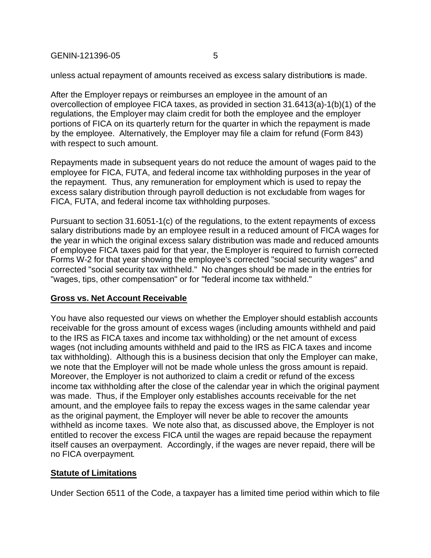GENIN-121396-05 5

unless actual repayment of amounts received as excess salary distributions is made.

After the Employer repays or reimburses an employee in the amount of an overcollection of employee FICA taxes, as provided in section 31.6413(a)-1(b)(1) of the regulations, the Employer may claim credit for both the employee and the employer portions of FICA on its quarterly return for the quarter in which the repayment is made by the employee. Alternatively, the Employer may file a claim for refund (Form 843) with respect to such amount.

Repayments made in subsequent years do not reduce the amount of wages paid to the employee for FICA, FUTA, and federal income tax withholding purposes in the year of the repayment. Thus, any remuneration for employment which is used to repay the excess salary distribution through payroll deduction is not excludable from wages for FICA, FUTA, and federal income tax withholding purposes.

Pursuant to section 31.6051-1(c) of the regulations, to the extent repayments of excess salary distributions made by an employee result in a reduced amount of FICA wages for the year in which the original excess salary distribution was made and reduced amounts of employee FICA taxes paid for that year, the Employer is required to furnish corrected Forms W-2 for that year showing the employee's corrected "social security wages" and corrected "social security tax withheld." No changes should be made in the entries for "wages, tips, other compensation" or for "federal income tax withheld."

# **Gross vs. Net Account Receivable**

You have also requested our views on whether the Employer should establish accounts receivable for the gross amount of excess wages (including amounts withheld and paid to the IRS as FICA taxes and income tax withholding) or the net amount of excess wages (not including amounts withheld and paid to the IRS as FICA taxes and income tax withholding). Although this is a business decision that only the Employer can make, we note that the Employer will not be made whole unless the gross amount is repaid. Moreover, the Employer is not authorized to claim a credit or refund of the excess income tax withholding after the close of the calendar year in which the original payment was made. Thus, if the Employer only establishes accounts receivable for the net amount, and the employee fails to repay the excess wages in the same calendar year as the original payment, the Employer will never be able to recover the amounts withheld as income taxes. We note also that, as discussed above, the Employer is not entitled to recover the excess FICA until the wages are repaid because the repayment itself causes an overpayment. Accordingly, if the wages are never repaid, there will be no FICA overpayment.

# **Statute of Limitations**

Under Section 6511 of the Code, a taxpayer has a limited time period within which to file